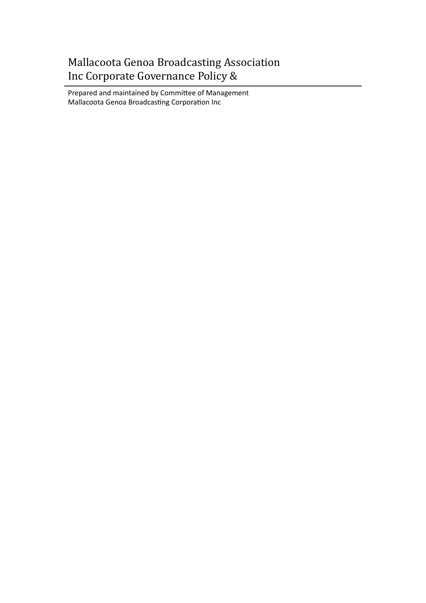# Mallacoota Genoa Broadcasting Association Inc Corporate Governance Policy &

Prepared and maintained by Committee of Management Mallacoota Genoa Broadcasting Corporation Inc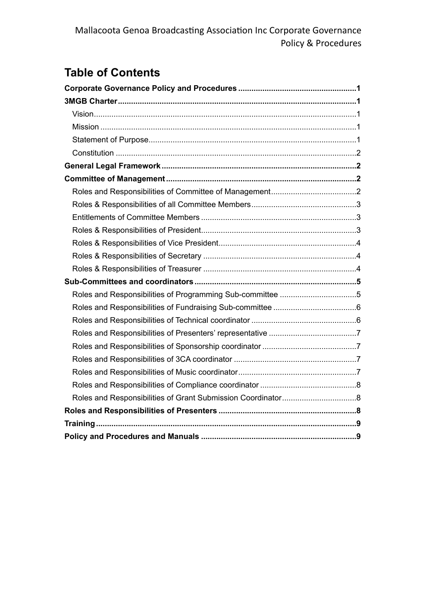# **Table of Contents**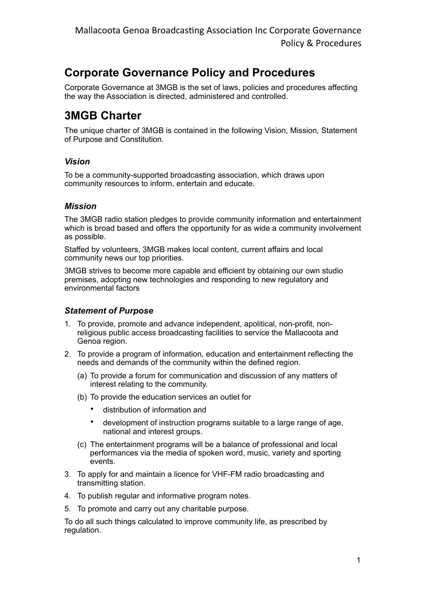# <span id="page-2-0"></span>**Corporate Governance Policy and Procedures**

Corporate Governance at 3MGB is the set of laws, policies and procedures affecting the way the Association is directed, administered and controlled.

## <span id="page-2-1"></span>**3MGB Charter**

The unique charter of 3MGB is contained in the following Vision, Mission, Statement of Purpose and Constitution.

## <span id="page-2-2"></span>*Vision*

To be a community-supported broadcasting association, which draws upon community resources to inform, entertain and educate.

## <span id="page-2-3"></span>*Mission*

The 3MGB radio station pledges to provide community information and entertainment which is broad based and offers the opportunity for as wide a community involvement as possible.

Staffed by volunteers, 3MGB makes local content, current affairs and local community news our top priorities.

3MGB strives to become more capable and efficient by obtaining our own studio premises, adopting new technologies and responding to new regulatory and environmental factors

## <span id="page-2-4"></span>*Statement of Purpose*

- 1. To provide, promote and advance independent, apolitical, non-profit, nonreligious public access broadcasting facilities to service the Mallacoota and Genoa region.
- 2. To provide a program of information, education and entertainment reflecting the needs and demands of the community within the defined region.
	- (a) To provide a forum for communication and discussion of any matters of interest relating to the community.
	- (b) To provide the education services an outlet for
		- distribution of information and
		- development of instruction programs suitable to a large range of age, national and interest groups.
	- (c) The entertainment programs will be a balance of professional and local performances via the media of spoken word, music, variety and sporting events.
- 3. To apply for and maintain a licence for VHF-FM radio broadcasting and transmitting station.
- 4. To publish regular and informative program notes.
- 5. To promote and carry out any charitable purpose.

To do all such things calculated to improve community life, as prescribed by regulation.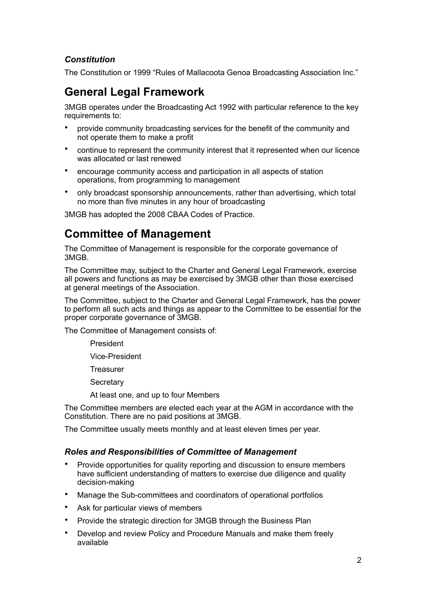## <span id="page-3-0"></span>*Constitution*

The Constitution or 1999 "Rules of Mallacoota Genoa Broadcasting Association Inc."

# <span id="page-3-1"></span>**General Legal Framework**

3MGB operates under the Broadcasting Act 1992 with particular reference to the key requirements to:

- provide community broadcasting services for the benefit of the community and not operate them to make a profit
- continue to represent the community interest that it represented when our licence was allocated or last renewed
- encourage community access and participation in all aspects of station operations, from programming to management
- only broadcast sponsorship announcements, rather than advertising, which total no more than five minutes in any hour of broadcasting

3MGB has adopted the 2008 CBAA Codes of Practice.

## <span id="page-3-2"></span>**Committee of Management**

The Committee of Management is responsible for the corporate governance of 3MGB.

The Committee may, subject to the Charter and General Legal Framework, exercise all powers and functions as may be exercised by 3MGB other than those exercised at general meetings of the Association.

The Committee, subject to the Charter and General Legal Framework, has the power to perform all such acts and things as appear to the Committee to be essential for the proper corporate governance of 3MGB.

The Committee of Management consists of:

President

Vice-President

**Treasurer** 

**Secretary** 

At least one, and up to four Members

The Committee members are elected each year at the AGM in accordance with the Constitution. There are no paid positions at 3MGB.

The Committee usually meets monthly and at least eleven times per year.

#### <span id="page-3-3"></span>*Roles and Responsibilities of Committee of Management*

- Provide opportunities for quality reporting and discussion to ensure members have sufficient understanding of matters to exercise due diligence and quality decision-making
- Manage the Sub-committees and coordinators of operational portfolios
- Ask for particular views of members
- Provide the strategic direction for 3MGB through the Business Plan
- Develop and review Policy and Procedure Manuals and make them freely available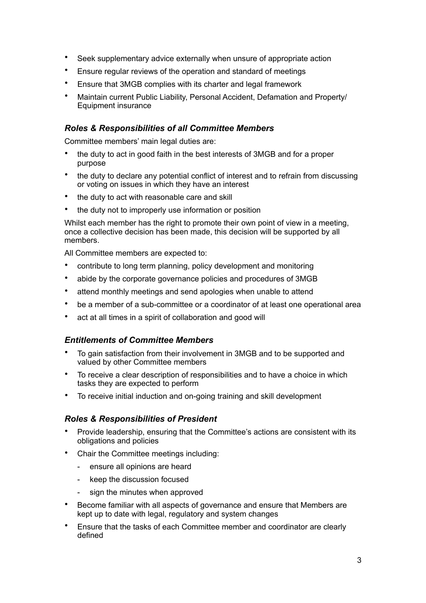- Seek supplementary advice externally when unsure of appropriate action
- Ensure regular reviews of the operation and standard of meetings
- Ensure that 3MGB complies with its charter and legal framework
- Maintain current Public Liability, Personal Accident, Defamation and Property/ Equipment insurance

## <span id="page-4-0"></span>*Roles & Responsibilities of all Committee Members*

Committee members' main legal duties are:

- the duty to act in good faith in the best interests of 3MGB and for a proper purpose
- the duty to declare any potential conflict of interest and to refrain from discussing or voting on issues in which they have an interest
- the duty to act with reasonable care and skill
- the duty not to improperly use information or position

Whilst each member has the right to promote their own point of view in a meeting, once a collective decision has been made, this decision will be supported by all members.

All Committee members are expected to:

- contribute to long term planning, policy development and monitoring
- abide by the corporate governance policies and procedures of 3MGB
- attend monthly meetings and send apologies when unable to attend
- be a member of a sub-committee or a coordinator of at least one operational area
- act at all times in a spirit of collaboration and good will

#### <span id="page-4-1"></span>*Entitlements of Committee Members*

- To gain satisfaction from their involvement in 3MGB and to be supported and valued by other Committee members
- To receive a clear description of responsibilities and to have a choice in which tasks they are expected to perform
- To receive initial induction and on-going training and skill development

## <span id="page-4-2"></span>*Roles & Responsibilities of President*

- Provide leadership, ensuring that the Committee's actions are consistent with its obligations and policies
- Chair the Committee meetings including:
	- ensure all opinions are heard
	- keep the discussion focused
	- sign the minutes when approved
- Become familiar with all aspects of governance and ensure that Members are kept up to date with legal, regulatory and system changes
- Ensure that the tasks of each Committee member and coordinator are clearly defined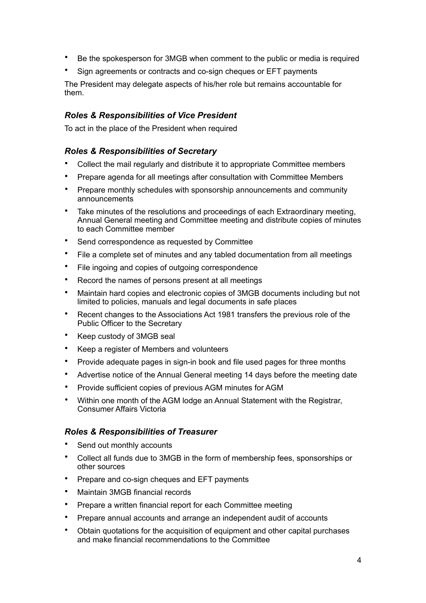- Be the spokesperson for 3MGB when comment to the public or media is required
- Sign agreements or contracts and co-sign cheques or EFT payments

The President may delegate aspects of his/her role but remains accountable for them.

## <span id="page-5-0"></span>*Roles & Responsibilities of Vice President*

To act in the place of the President when required

### <span id="page-5-1"></span>*Roles & Responsibilities of Secretary*

- Collect the mail regularly and distribute it to appropriate Committee members
- Prepare agenda for all meetings after consultation with Committee Members
- Prepare monthly schedules with sponsorship announcements and community announcements
- Take minutes of the resolutions and proceedings of each Extraordinary meeting, Annual General meeting and Committee meeting and distribute copies of minutes to each Committee member
- Send correspondence as requested by Committee
- File a complete set of minutes and any tabled documentation from all meetings
- File ingoing and copies of outgoing correspondence
- Record the names of persons present at all meetings
- Maintain hard copies and electronic copies of 3MGB documents including but not limited to policies, manuals and legal documents in safe places
- Recent changes to the Associations Act 1981 transfers the previous role of the Public Officer to the Secretary
- Keep custody of 3MGB seal
- Keep a register of Members and volunteers
- Provide adequate pages in sign-in book and file used pages for three months
- Advertise notice of the Annual General meeting 14 days before the meeting date
- Provide sufficient copies of previous AGM minutes for AGM
- Within one month of the AGM lodge an Annual Statement with the Registrar, Consumer Affairs Victoria

#### <span id="page-5-2"></span>*Roles & Responsibilities of Treasurer*

- Send out monthly accounts
- Collect all funds due to 3MGB in the form of membership fees, sponsorships or other sources
- Prepare and co-sign cheques and EFT payments
- Maintain 3MGB financial records
- Prepare a written financial report for each Committee meeting
- Prepare annual accounts and arrange an independent audit of accounts
- Obtain quotations for the acquisition of equipment and other capital purchases and make financial recommendations to the Committee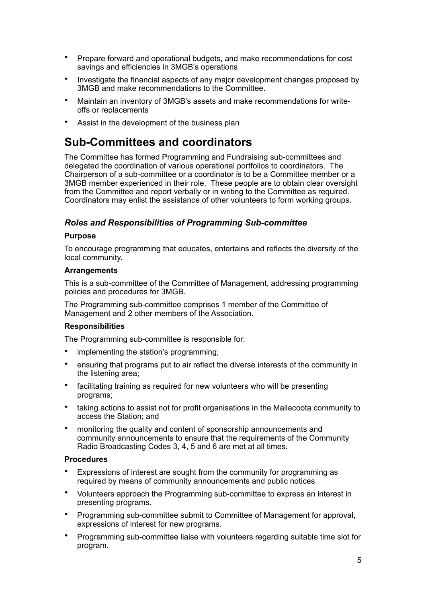- Prepare forward and operational budgets, and make recommendations for cost savings and efficiencies in 3MGB's operations
- Investigate the financial aspects of any major development changes proposed by 3MGB and make recommendations to the Committee.
- Maintain an inventory of 3MGB's assets and make recommendations for writeoffs or replacements
- Assist in the development of the business plan

## <span id="page-6-0"></span>**Sub-Committees and coordinators**

The Committee has formed Programming and Fundraising sub-committees and delegated the coordination of various operational portfolios to coordinators. The Chairperson of a sub-committee or a coordinator is to be a Committee member or a 3MGB member experienced in their role. These people are to obtain clear oversight from the Committee and report verbally or in writing to the Committee as required. Coordinators may enlist the assistance of other volunteers to form working groups.

### <span id="page-6-1"></span>*Roles and Responsibilities of Programming Sub-committee*

#### **Purpose**

To encourage programming that educates, entertains and reflects the diversity of the local community.

#### **Arrangements**

This is a sub-committee of the Committee of Management, addressing programming policies and procedures for 3MGB.

The Programming sub-committee comprises 1 member of the Committee of Management and 2 other members of the Association.

#### **Responsibilities**

The Programming sub-committee is responsible for:

- implementing the station's programming;
- ensuring that programs put to air reflect the diverse interests of the community in the listening area;
- facilitating training as required for new volunteers who will be presenting programs;
- taking actions to assist not for profit organisations in the Mallacoota community to access the Station; and
- monitoring the quality and content of sponsorship announcements and community announcements to ensure that the requirements of the Community Radio Broadcasting Codes 3, 4, 5 and 6 are met at all times.

#### **Procedures**

- Expressions of interest are sought from the community for programming as required by means of community announcements and public notices.
- Volunteers approach the Programming sub-committee to express an interest in presenting programs.
- Programming sub-committee submit to Committee of Management for approval, expressions of interest for new programs.
- Programming sub-committee liaise with volunteers regarding suitable time slot for program.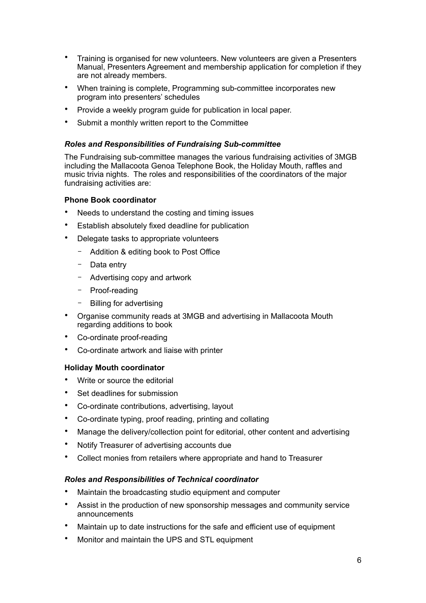- Training is organised for new volunteers. New volunteers are given a Presenters Manual, Presenters Agreement and membership application for completion if they are not already members.
- When training is complete, Programming sub-committee incorporates new program into presenters' schedules
- Provide a weekly program guide for publication in local paper.
- Submit a monthly written report to the Committee

#### <span id="page-7-0"></span>*Roles and Responsibilities of Fundraising Sub-committee*

The Fundraising sub-committee manages the various fundraising activities of 3MGB including the Mallacoota Genoa Telephone Book, the Holiday Mouth, raffles and music trivia nights. The roles and responsibilities of the coordinators of the major fundraising activities are:

#### **Phone Book coordinator**

- Needs to understand the costing and timing issues
- Establish absolutely fixed deadline for publication
- Delegate tasks to appropriate volunteers
	- Addition & editing book to Post Office
	- Data entry
	- Advertising copy and artwork
	- Proof-reading
	- Billing for advertising
- Organise community reads at 3MGB and advertising in Mallacoota Mouth regarding additions to book
- Co-ordinate proof-reading
- Co-ordinate artwork and liaise with printer

#### **Holiday Mouth coordinator**

- Write or source the editorial
- Set deadlines for submission
- Co-ordinate contributions, advertising, layout
- Co-ordinate typing, proof reading, printing and collating
- Manage the delivery/collection point for editorial, other content and advertising
- Notify Treasurer of advertising accounts due
- Collect monies from retailers where appropriate and hand to Treasurer

#### <span id="page-7-1"></span>*Roles and Responsibilities of Technical coordinator*

- Maintain the broadcasting studio equipment and computer
- Assist in the production of new sponsorship messages and community service announcements
- Maintain up to date instructions for the safe and efficient use of equipment
- Monitor and maintain the UPS and STL equipment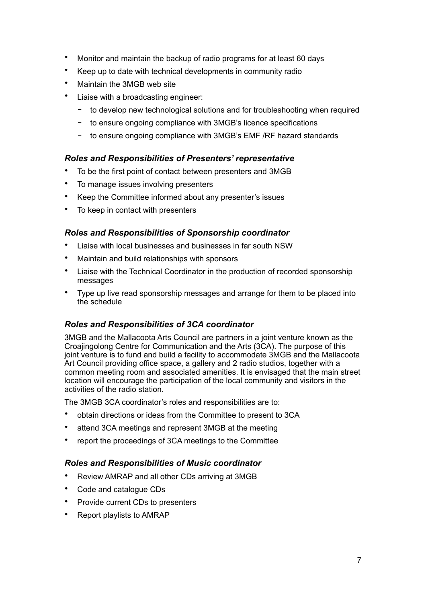- Monitor and maintain the backup of radio programs for at least 60 days
- Keep up to date with technical developments in community radio
- Maintain the 3MGB web site
- Liaise with a broadcasting engineer:
	- to develop new technological solutions and for troubleshooting when required
	- to ensure ongoing compliance with 3MGB's licence specifications
	- to ensure ongoing compliance with 3MGB's EMF /RF hazard standards

## <span id="page-8-0"></span>*Roles and Responsibilities of Presenters' representative*

- To be the first point of contact between presenters and 3MGB
- To manage issues involving presenters
- Keep the Committee informed about any presenter's issues
- To keep in contact with presenters

## <span id="page-8-1"></span>*Roles and Responsibilities of Sponsorship coordinator*

- Liaise with local businesses and businesses in far south NSW
- Maintain and build relationships with sponsors
- Liaise with the Technical Coordinator in the production of recorded sponsorship messages
- Type up live read sponsorship messages and arrange for them to be placed into the schedule

## <span id="page-8-2"></span>*Roles and Responsibilities of 3CA coordinator*

3MGB and the Mallacoota Arts Council are partners in a joint venture known as the Croajingolong Centre for Communication and the Arts (3CA). The purpose of this joint venture is to fund and build a facility to accommodate 3MGB and the Mallacoota Art Council providing office space, a gallery and 2 radio studios, together with a common meeting room and associated amenities. It is envisaged that the main street location will encourage the participation of the local community and visitors in the activities of the radio station.

The 3MGB 3CA coordinator's roles and responsibilities are to:

- obtain directions or ideas from the Committee to present to 3CA
- attend 3CA meetings and represent 3MGB at the meeting
- report the proceedings of 3CA meetings to the Committee

## <span id="page-8-3"></span>*Roles and Responsibilities of Music coordinator*

- Review AMRAP and all other CDs arriving at 3MGB
- Code and catalogue CDs
- Provide current CDs to presenters
- Report playlists to AMRAP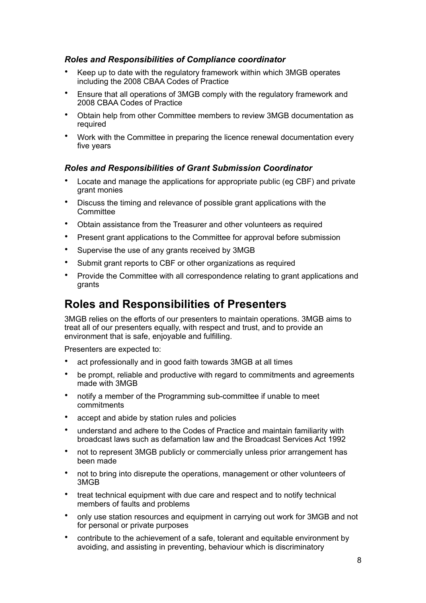## <span id="page-9-0"></span>*Roles and Responsibilities of Compliance coordinator*

- Keep up to date with the regulatory framework within which 3MGB operates including the 2008 CBAA Codes of Practice
- Ensure that all operations of 3MGB comply with the regulatory framework and 2008 CBAA Codes of Practice
- Obtain help from other Committee members to review 3MGB documentation as required
- Work with the Committee in preparing the licence renewal documentation every five years

### <span id="page-9-1"></span>*Roles and Responsibilities of Grant Submission Coordinator*

- Locate and manage the applications for appropriate public (eg CBF) and private grant monies
- Discuss the timing and relevance of possible grant applications with the **Committee**
- Obtain assistance from the Treasurer and other volunteers as required
- Present grant applications to the Committee for approval before submission
- Supervise the use of any grants received by 3MGB
- Submit grant reports to CBF or other organizations as required
- Provide the Committee with all correspondence relating to grant applications and grants

## <span id="page-9-2"></span>**Roles and Responsibilities of Presenters**

3MGB relies on the efforts of our presenters to maintain operations. 3MGB aims to treat all of our presenters equally, with respect and trust, and to provide an environment that is safe, enjoyable and fulfilling.

Presenters are expected to:

- act professionally and in good faith towards 3MGB at all times
- be prompt, reliable and productive with regard to commitments and agreements made with 3MGB
- notify a member of the Programming sub-committee if unable to meet commitments
- accept and abide by station rules and policies
- understand and adhere to the Codes of Practice and maintain familiarity with broadcast laws such as defamation law and the Broadcast Services Act 1992
- not to represent 3MGB publicly or commercially unless prior arrangement has been made
- not to bring into disrepute the operations, management or other volunteers of 3MGB
- treat technical equipment with due care and respect and to notify technical members of faults and problems
- only use station resources and equipment in carrying out work for 3MGB and not for personal or private purposes
- contribute to the achievement of a safe, tolerant and equitable environment by avoiding, and assisting in preventing, behaviour which is discriminatory